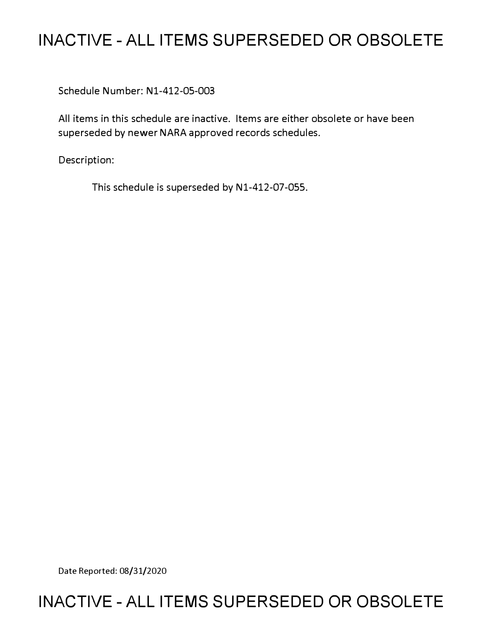## **INACTIVE - ALL ITEMS SUPERSEDED OR OBSOLETE**

Schedule Number: Nl-412-05-003

All items in this schedule are inactive. Items are either obsolete or have been superseded by newer NARA approved records schedules.

Description:

This schedule is superseded by N1-412-07-055.

Date Reported: 08/31/2020

## **INACTIVE - ALL ITEMS SUPERSEDED OR OBSOLETE**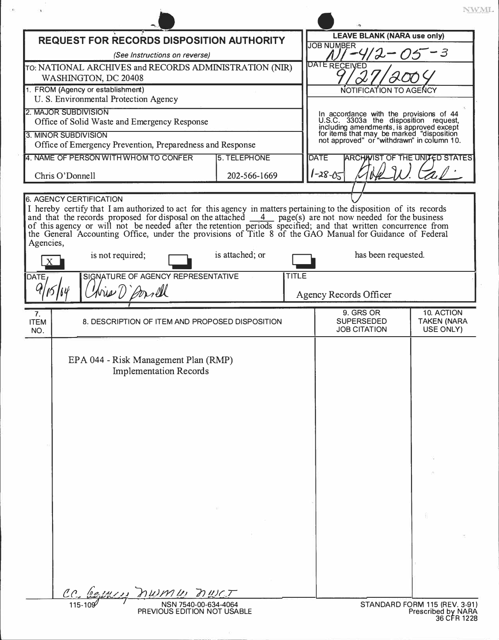|                                                                                                                                                                                                                                                                                                                            |                                 |                                                                                                                                                                                                                         | NWML.                                               |
|----------------------------------------------------------------------------------------------------------------------------------------------------------------------------------------------------------------------------------------------------------------------------------------------------------------------------|---------------------------------|-------------------------------------------------------------------------------------------------------------------------------------------------------------------------------------------------------------------------|-----------------------------------------------------|
| <b>REQUEST FOR RECORDS DISPOSITION AUTHORITY</b>                                                                                                                                                                                                                                                                           |                                 | <b>LEAVE BLANK (NARA use only)</b>                                                                                                                                                                                      |                                                     |
| (See Instructions on reverse)                                                                                                                                                                                                                                                                                              |                                 | <b>JOB NUMBER</b>                                                                                                                                                                                                       |                                                     |
| TO: NATIONAL ARCHIVES and RECORDS ADMINISTRATION (NIR)                                                                                                                                                                                                                                                                     |                                 | DATE RECEIVED                                                                                                                                                                                                           |                                                     |
| WASHINGTON, DC 20408                                                                                                                                                                                                                                                                                                       |                                 |                                                                                                                                                                                                                         |                                                     |
| 1. FROM (Agency or establishment)                                                                                                                                                                                                                                                                                          |                                 | NOTIFICATION TO AGENCY                                                                                                                                                                                                  |                                                     |
| U. S. Environmental Protection Agency<br>2. MAJOR SUBDIVISION                                                                                                                                                                                                                                                              |                                 |                                                                                                                                                                                                                         |                                                     |
| Office of Solid Waste and Emergency Response<br>3. MINOR SUBDIVISION                                                                                                                                                                                                                                                       |                                 | In accordance with the provisions of 44<br>U.S.C. 3303a the disposition request,<br>including amendments, is approved except<br>for items that may be marked "disposition<br>not approved" or "withdrawn" in column 10. |                                                     |
| Office of Emergency Prevention, Preparedness and Response                                                                                                                                                                                                                                                                  |                                 |                                                                                                                                                                                                                         |                                                     |
| 4. NAME OF PERSON WITH WHOM TO CONFER                                                                                                                                                                                                                                                                                      | <b>5. TELEPHONE</b>             | <b>DATE</b><br><b>ARCHIVIST OF THE UNITED STATES</b>                                                                                                                                                                    |                                                     |
| 202-566-1669<br>Chris O'Donnell                                                                                                                                                                                                                                                                                            |                                 | 1-28-05                                                                                                                                                                                                                 |                                                     |
|                                                                                                                                                                                                                                                                                                                            |                                 |                                                                                                                                                                                                                         |                                                     |
| of this agency or will not be needed after the retention periods specified; and that written concurrence from<br>the General Accounting Office, under the provisions of Title 8 of the GAO Manual for Guidance of Federal<br>Agencies,<br>is not required;<br>SIGNATURE OF AGENCY REPRESENTATIVE<br>DATE,<br>Mis () Arrill | is attached; or<br><b>TITLE</b> | has been requested.<br>Agency Records Officer                                                                                                                                                                           |                                                     |
|                                                                                                                                                                                                                                                                                                                            |                                 |                                                                                                                                                                                                                         |                                                     |
| 7.<br>8. DESCRIPTION OF ITEM AND PROPOSED DISPOSITION<br><b>ITEM</b><br>NO.                                                                                                                                                                                                                                                |                                 | 9. GRS OR<br><b>SUPERSEDED</b><br><b>JOB CITATION</b>                                                                                                                                                                   | 10. ACTION<br><b>TAKEN (NARA</b><br>USE ONLY)       |
| EPA 044 - Risk Management Plan (RMP)<br><b>Implementation Records</b>                                                                                                                                                                                                                                                      |                                 |                                                                                                                                                                                                                         |                                                     |
|                                                                                                                                                                                                                                                                                                                            |                                 |                                                                                                                                                                                                                         |                                                     |
|                                                                                                                                                                                                                                                                                                                            |                                 |                                                                                                                                                                                                                         |                                                     |
|                                                                                                                                                                                                                                                                                                                            |                                 |                                                                                                                                                                                                                         |                                                     |
| CC bejuices numer nuct<br>NSN 7540-00-634-4064<br>PREVIOUS EDITION NOT USABLE                                                                                                                                                                                                                                              |                                 |                                                                                                                                                                                                                         | STANDARD FORM 115 (REV. 3-91)<br>Prescribed by NARA |

 $\alpha$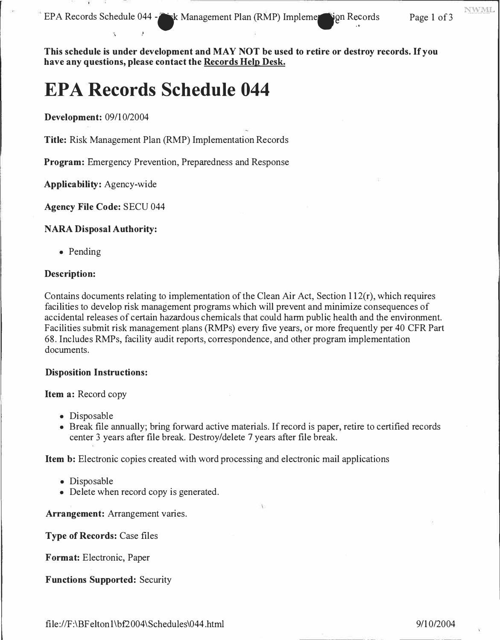EPA Records Schedule 044 - K Management Plan (RMP) Impleme vign Records Page 1 of 3

**NWML** 

**This schedule is under development and MAY NOT be used to retire or destroy records. If you have any questions, please contact the Records Help Desk.** 

# **EPA Records Schedule 044**

,'

**Development:** 09/10/2004

**Title:** Risk Management Plan (RMP) Implementation Records

**Program:** Emergency Prevention, Preparedness and Response

**Applicability:** Agency-wide

**Agency File Code:** SECU 044

#### **NARA Disposal Authority:**

• Pending

#### **Description:**

Contains documents relating to implementation of the Clean Air Act, Section 112(r), which requires facilities to develop risk management programs which will prevent and minimize consequences of accidental releases of certain hazardous chemicals that could harm public health and the environment. Facilities submit risk management plans (RMPs) every five years, or more frequently per 40 CFR Part 68. Includes RMPs, facility audit reports, correspondence, and other program implementation documents.

#### **Disposition Instructions:**

#### **Item a:** Record copy

- Disposable
- Break file annually; bring forward active materials. If record is paper, retire to certified records center 3 years after file break. Destroy/delete 7 years after file break.

Item b: Electronic copies created with word processing and electronic mail applications

- Disposable
- Delete when record copy is generated.

**Arrangement:** Arrangement varies.

**Type of Records:** Case files

**Format:** Electronic, Paper

**Functions Supported:** Security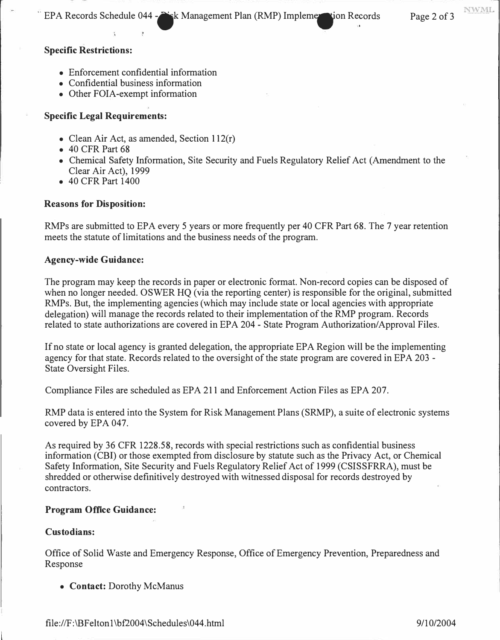EPA Records Schedule 044 - isk Management Plan (RMP) Impleme ion Records Page 2 of 3

NWMI

## **Specific Restrictions:**

- Enforcement confidential information
- Confidential business information
- Other FOIA-exempt information

## **Specific Legal Requirements:**

- Clean Air Act, as amended, Section 112(r)
- 40 CFR Part 68
- Chemical Safety Information, Site Security and Fuels Regulatory Relief Act (Amendment to the Clear Air Act), 1999
- 40 CFR Part 1400

### **Reasons for Disposition:**

RMPs are submitted to EPA every 5 years or more frequently per 40 CFR Part 68. The 7 year retention meets the statute of limitations and the business needs of the program.

### **Agency-wide Guidance:**

The program may keep the records in paper or electronic format. Non-record copies can be disposed of when no longer needed. OSWER HQ (via the reporting center) is responsible for the original, submitted RMPs. But, the implementing agencies (which may include state or local agencies with appropriate delegation) will manage the records related to their implementation of the RMP program. Records related to state authorizations are covered in EPA 204 - State Program Authorization/ Approval Files.

If no state or local agency is granted delegation, the appropriate EPA Region will be the implementing agency for that state. Records related to the oversight of the state program are covered in EPA 203 - State Oversight Files.

Compliance Files are scheduled as EPA 211 and Enforcement Action Files as EPA 207.

RMP data is entered into the System for Risk Management Plans (SRMP), a suite of electronic systems covered by EPA 047.

As required by 36 CFR 1228.58, records with special restrictions such as confidential business information (CBI) or those exempted from disclosure by statute such as the Privacy Act, or Chemical Safety Information, Site Security and Fuels Regulatory Relief Act of 1999 (CSISSFRRA), must be shredded or otherwise definitively destroyed with witnessed disposal for records destroyed by contractors.

## **Program Office Guidance:**

### **Custodians:**

Office of Solid Waste and Emergency Response, Office of Emergency Prevention, Preparedness and Response

• **Contact:** Dorothy McManus